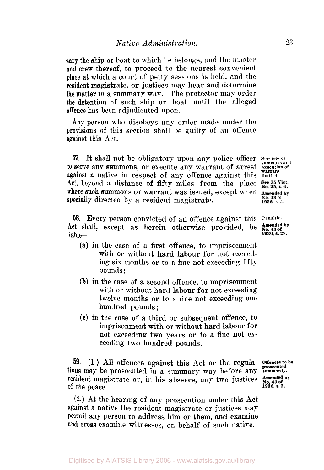sary the ship or boat to which he belongs, and the master and crew thereof, to proceed to the nearest convenient place at which a court of petty sessions is held, and the resident magistrate, or justices may hear and determine the matter in a summary way. The protector may order the detention of such ship or boat until the alleged offence has been adjudicated upon.

**Any** person who disobeys any order made under the provisions of this section shall be guilty of an offence against this Act.

**57.** It shall not be obligatory upon any police officer Services of *to* serve any summons, or execute any warrant of arrest **execution of**  against a native in respect of any offence against this **limited.**  Act, beyond a distance of fifty miles from the place  $\frac{5}{N_0}$ ,  $\frac{5}{25}$ ,  $\frac{5}{N_0}$ ,  $\frac{1}{25}$ ,  $\frac{5}{N_0}$ ,  $\frac{1}{25}$ ,  $\frac{5}{N_0}$ ,  $\frac{1}{25}$ where such summons or warrant was issued, except when Amended by specially directed by a resident magistrate. **Example 1936**, s. 3.

*58.* Every person convicted of an offence against this **penalties**  Act shall, except as herein otherwise provided, be liable-

- (a) in the case **of** a first offence, to imprisonment with or without hard labour for not exceeding six months or to a fine not exceeding fifty pounds ;
- (b) in the case of a second offence, to imprisonment with or without hard labour **for** not exceeding twelve months or to a fine not exceeding one hundred pounds ;
- *(c)* in the case of a third or subsequent offence, to imprisonment with or without hard labour for not exceeding two years or to a fine not exceeding two hundred pounds.

**59.** (1.) All offences against this Act or the regulations may be prosecuted in a summary way before any summarily. resident magistrate or, in his absence, any two justices of the peace.

**(2.)** At the hearing of any prosecution under this Act against a native the resident magistrate or justices may permit any person to address him or them, and examine **and** cross-examine witnesses, on behalf of such native.

**Amended by <br>No. 43 of<br>1936, s. 3.** 

**warrant** 

**Amended by**<br>**No. 43 of**<br>**1936. s. 29.**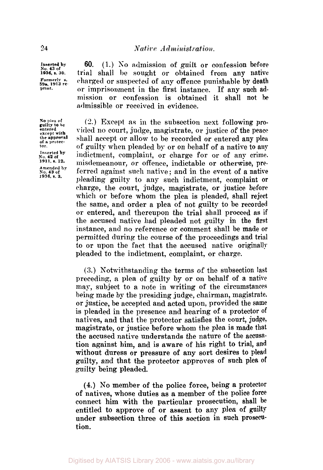Inserted by No. 43 of **1936**, s. 30. **Formerly s.**<br>59a, 1913 re-<br>print.

**60.** (1.) *So* admission of guilt or confession before trial shall be sought or obtained from any native charged or suspected of any offence punishable by death **or** imprisonment in the first instance. If any such admission or confession is obtained it shall not **be**  admissible or received in evidence.

*(2.)* Except as in the subsection next following **pro**vided no court, judge, magistrate, or justice of the peace shall accept or allow to be recorded or entered any plea of guilty when pleaded by or on behalf of a native to any indictment, complaint, or charge for or of any crime. misdemeanour, or offence, indictable or otherwise, preferred against such native ; and in the event of a native pleading guilty to any such indictment, complaint or charge, the court, judge, magistrate, or justice before which or before whom the plea is pleaded, shall reject the same, and order a plea of not guilty to be recorded or entered, and thereupon the trial shall proceed as if the accused native had pleaded not guilty in the first instance, and no reference or comment shall be made or permitted during the course of the proceedings and trial to or upon the fact that the accused native originally pleaded **to** the indictment, complaint, or charge.

**(3.)** Notwithstanding the terms **of** the subsection last preceding, a plea of guilty by **or** on behalf of a native may, subject to a note in writing of the circumstances being made by the presiding judge, chairman, magistrate. or justice, be accepted and acted upon, provided the same is pleaded in the presence and hearing of **a** protector **of**  natives, and that the protector satisfies the court, judge, magistrate, or justice before whom the plea is made that the accused native understands the nature **of** the accusation against him, and is aware of his right to trial, and without duress **or** pressure **of** any sort desires to plead guilty, and that the protector approves **of** such plea **of**  guilty being pleaded.

**(4.) No** member **of** the police force, being a protector **of** natives, whose duties as **a** member of the police force connect him with the particular prosecution, shall **be**  entitled to approve **of** or assent to any plea **of** guilty under subsection three **of** this section in such prosecution.

**No** plea of<br>**guilty to** be<br>entered **except the of a protec- tor. Inserted**  No. 42 of **1911**, s. 12. **Amended by No. 43 of 1936, s. 3.**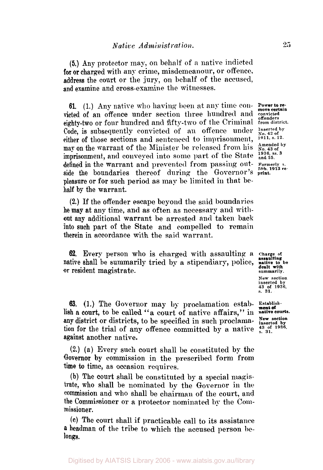*(5.)* Any protector may, on behalf of **a** native indicted **for** or charged with any crime, misdemeanour, or offence, address the court or the jury, on behalf of the accused, and examine and cross-examine the witnesses.

61. (1.) Any native who having been at any time con- Power to revicted of an offence under section three hundred and *convicted* of an offence under section three hundred and *convicted* eighty-two or four hundred and fifty-two of the Criminal **from district.**  Code, is subsequently convicted of an offence under Inserted by<br>either of those sections and sentenced to imprisonment, <sup>1911, s.12</sub>.</sup> either of those sections and sentenced to imprisonment,  $^{1911}$ , s. 12.<br>may on the warrant of the Minister be released from his  $^{Amended by}_{No. 43 of}$ may on the warrant of the Minister be released from his **No. 43 of**<br>imprisonment, and conveyed into some uant of the State <sup>1936, ss. 3</sup> imprisonment, and conveyed into some part of the State <sup>1936, ss</sup><br>defined in the warrant and prevented from passing outdefined in the warrant and prevented from passing out- **Formerly s.**  side the boundaries thereof during the Governor's **print.** pleasure or **for** such period as may be limited in that behalf by the warrant.

**(2.)** If the offender escape beyond the said boundaries he may at any time, and as often as necessary and with**out** any additional warrant be arrested and taken back into such part of the State and compelled to remain therein in accordance with the said warrant.

**62.** Every person who is charged with assaulting a or resident magistrate. native shall be summarily tried by a stipendiary, police,

**63.** (1.) The Governor may by proclamation estab- **Establish-New section**  any district **or** districts, to be specified in such proclama- **inserted by**  lish a court, to be called **"a** court **of** native affairs,'' in **native courts.**  tion for the trial of any offence committed by a native  $\frac{43 \text{ of } 1936}{5.31}$ against another native.

**(2.) (a)** Every such court shall he constituted by the Governor **by** commission in the prescribed form from time to time, as occasion requires.

**(b)** The court shall be constituted by a special magistrate, **who** shall be nominated by the Governor in the commission and who shall be chairman of the court, and the Commissioner **or a** protector nominated **by** the Coinmissioner.

**(c)** The court shall if practicable call to its assistance **a** headman of the tribe to which the accused person **be**longs.

Charge of<br> **assaulting**<br> **native to** be **dealt with** 

**New section inserted by 43 of 1936, s.** 31.

**ment of**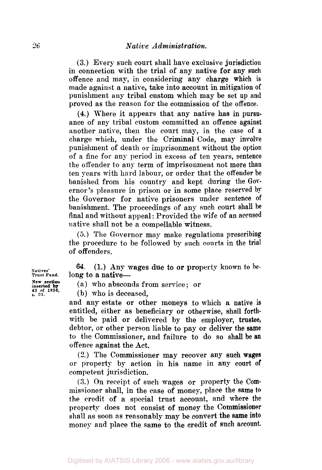**(3.)** Every such court shall have exclusive jurisdiction in connection with the trial of any native **for** any **such**  offence and may, in considering any charge which is made against **a** native, take into account in mitigation of punishment any tribal custom which may be set **up** and proved as the reason for the commission of the offence.

**(4.)** Where it appears that any native has in **pursu**ance of any tribal custom committed **an** offence against another native, then the court may, in the case **of** a charge which, under the Criminal Code, may involve punishment of death or imprisonment without the option of **a** fine for any period in excess of ten years, sentence the offender to any term of imprisonment not more than ten years with hard labour, or order that the offender be banished from his country and kept during the **Gov**ernor's pleasure in prison or in some place reserved by the Governor for native prisoners under sentence of banishment. The proceedings of any such court shall be final and without appeal : Provided the wife of an **accused**  native shall not be a compellable witness.

*(5.)* The Governor **may** make regulations prescribing the procedure to be followed by such courts in the trial of offenders.

**64.**  (1.) Any wages due to or property known to **he**long to a native-

(a) who absconds from service ; or

(b) who is deceased,

and any estate **or** other moneys to which a native **is**  entitled, either as beneficiary **or** otherwise, shall forthwith be paid or delivered by the employer, trustee, debtor, or other person liable to pay or deliver the **same**  to the Commissioner, and failure to do so shall be **an**  offence against the Act.

**(2.)** The Commissioner may recover any such wages or property by action in his name in any court **of**  competent jurisdiction.

**(3.)** On receipt of such wages or property the **Com**missioner shall, in the case **of** money, place the **same to the** credit of a special trust account, and where **the**  property does not consist **of** money the Commissioner shall as soon as reasonably may be convert the **same into**  money and place the same to the credit **of** such account.

**Natives' Trust Fund. inserted by <sup>43</sup>of 1936,** *s.* **31. New section**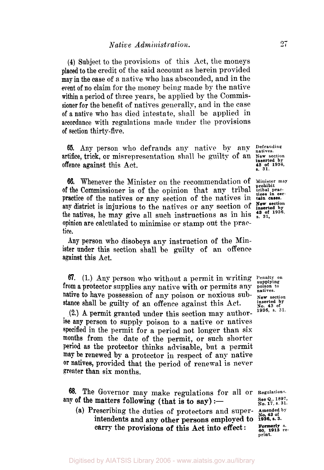**(4)** Subject to the provisions of this Act, the moneys placed to the credit of the said account as herein provided **may** in the case of a native who has absconded, and in the event of no claim for the money being made by the native within a period **of** three years, be applied by the Commissioner for the benefit of natives generally, and in the case **of** a native who has died intestate, shall be applied in accordance with regulations made under the provisions of section thirty-five.

65. Any person who defrauds any native by any **Defrauding natives.**  artifice, trick, or misrepresentation shall be guilty of an **New section** offence against this Act. **inserted by 43 of 1936.**  *s.* **31.** 

**66.** Whenever the Minister on the recommendation of Minister may of the Commissioner is of the opinion that any tribal tribal pracpractice of the natives or any section of the natives in any district is injurious to the natives or any section of the natives, he may give all such instructions as in his opinion are calculated to minimise or stamp out the practice.

**Any** person who disobeys any instruction **of** the Minister under this section shall be guilty of **an** offence against this Act.

*67.* **(1.)** Any person who without a permit in writing **Penalty on supplying from** a protector supplies any native with or permits **any poison to natives**  native to have possession of any poison or noxious substance shall be guilty of an offence against this Act. **inserted by**  $N_0$ . 43 of

**(2.) A** permit granted under this section may authorise **any** person to supply poison to a native or natives specified in the permit for a period not longer than six months from the date **of** the permit, or such shorter period as the protector thinks advisable, but a permit may be renewed by a protector in respect of any native **Or** natives, provided that the period **of** renewal is never greater than six months.

**68.** The Governor may make regulations for all or **Regulations**. **See Q.. 1897, N** of the matters following (that is to say):  $\frac{1}{N0.17, s. 31}$ . any of the matters following (that is to say) :-

(a) Prescribing the duties **of** protectors and super- **Amended by No, 43 of**  intendents and any other persons employed to **1936, s. 3.**  carry the provisions of this Act into effect :

tices in cer-<br>tain cases. **New section 43 of 1936,** 

**1936, s. 31.** 

60, 1913 re-<br>print.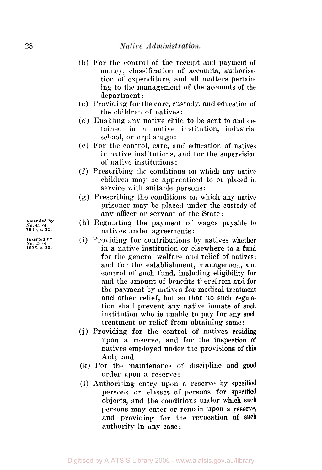## Native Administration.

- (b) For the control of the receipt and payment of money, classification of accounts, authorisation of expenditure, and all matters pertaining to the management of the accounts of the department :
- (c) Providing for the care, custody, and education of the children of natives :
- **(d)** Enabling any native child to be sent to and **de**tained in *a* native institution, industrial school, or orphanage :
- *(e)* For the control, care, and education of natives in native institutions, and for the supervision of native institutions :
- (f) Prescribing the conditions on which any native children may be apprenticed to or placed in service with suitable persons :
- (g) Prescribing the conditions on which any native prisoner may be placed under the custody of any officer or servant of the State:
- **(h)** Regulating the payment of wages payable **to**  natives under agreements :
- (i) Providing for contributions by natives whether in **a** native institution or elsewhere to a fund for the general welfare and relief of natives; and for the establishment, management, and control of such fund, including eligibility for and the amount of benefits therefrom and for the payment by natives for medical treatment and other relief, but so that no such regulation shall prevent any native inmate of **such**  institution who is unable to pay for any such treatment or relief from obtaining same :
- **(j)** Providing for the control of natives residing upon a reserve, and for the inspection **of**  natives employed under the provisions of this Act; and
- **(k)** For the maintenance of discipline and **good**  order upon *a* reserve:
- (1) Authorising entry upon **a** reserve by specified persons or classes of persons for specified objects, **and** the conditions under which such persons may enter or remain upon a reserve, and providing for the revocation **of** such authority **in** any **case:**

**Amended No. 43 of** by **1936. s 32.** 

**No Inserted 43 of** by **1936. s.** *32.*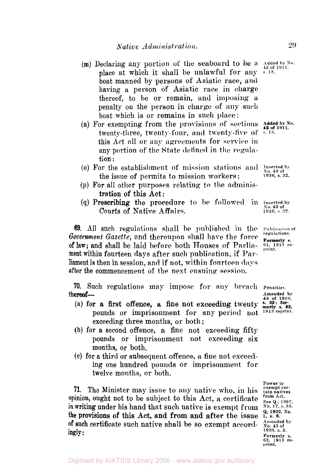Native Administration.

- (m) Declaring any portion of the seaboard to be a Added by No. place at which it shall be unlawful **for** any boat manned by persons of Asiatic race, and having a person of Asiatic race in charge thereof, to be or remain, and imposing a penalty on the person in charge of any such boat which is or remains in such place:
- (n) For exempting from the provisions **of sections**  twenty-three, twenty-four, and twenty-five of  $\frac{42 \text{ of } 1911}{5.13.5}$ this Act all or any agreements for service in any portion of the State defined in the *regula*tion :
- *(o)* For the establishment of mission stations and **Inserted by No. 43 of**  the issue of permits to mission workers ;
- **(p)** For all other purposes relating to the adminis tration of this Act:
- **(q)** Prescribing the procedure to be **followed** in **Inserted by No. 43 of**  Courts of Native Affairs. **1936**, s. 32.

69. All such regulations shall be published in the **Publication of** *Goverment Gazette,* and thereupon shall have the **force** *regulations.* **s.**  of law; and shall be laid before both Houses of Parlia- $_{\text{print}}^{61,19}$ ment within fourteen days after such publication if **Par**liament is then in session, and if not, within fourteen **days**  after the commencement of the nest ensuing session.

**70.** Such regulations may impose for any breach Penalties.<br> **hereof**— **Amended 43 of 1936.**<br> **43 of 1936.**<br> **43 of 1936.** 

- **(a)** for a first offence, a fine not exceeding twenty pounds or imprisonment for any period not <sup>1913 reprint.</sup> <sup>62</sup>. exceeding three months, or both ;
- (b) **for** a second offence, a fine not exceeding fifty pounds or imprisonment not exceeding six months, or both.
- **(c)** for a third or subsequent offence, a fine not exceeding one hundred pounds or imprisonment for twelve months, or both.

**71.** The Minister may issue to any native who, in his **exempt certain natives**  $\frac{1}{2}$ opinion, ought not to be subject to this Act, a certificate  $\frac{f_{\text{row}}}{\text{see } Q}$ , 1897,  $\frac{1897}{1897}$  in writing under his hand that such native is exempt from  $\frac{1897}{100}$ ,  $\frac{17}{15}$ ,  $\frac{33}{15}$ *n* writing under his hand that such native is exempt from the provisions of this Act, and from and after the issue  $\frac{Q_1, 1902, N_0}{1, 8, 6}$ . of such certificate such native shall be so exempt accordingly: **of** such certificate such native shall be so exempt accord- **Amended** *No.* **43 of by** 

**13.** 

**1936 s 32.** 

**Amended by**<br>**43 of 1936,<br>s. 33; for** 

**Power to**  Amended by<br>No. 43 of<br>1936. s. 3. **Formerly s. 63. 1913 re- print.**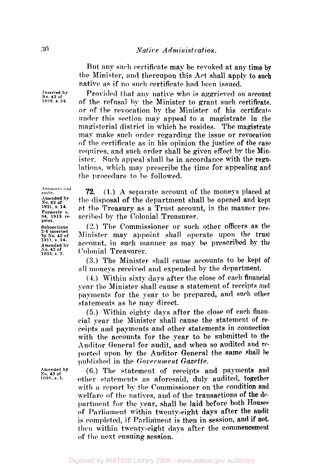Rut any such certificate map be revoked at any time **by**  the Minister, and thereupon this Act shall apply to **such**  native as if no such certificate had been issued.

Provided that any native who is aggrieved on account of the refusal by the Minister to grant such certificate. or of the revocation by the Minister **of** his certificate under this section may appeal to a magistrate in the magisterial district in which he resides. The magistrate may make such order regarding the issue **or** revocation of the certificate as in his opinion the justice of the **case**  requires. and such order shall be given effect by the Minister. Such appeal shall be in accordance with the **regu**lations, which may prescribe the time for appealing **and**  the procedure to he followed.

**72.** (1.) A separate account of the moneys placed at the disposal of the department shall be opened and **kept**  at the Treasury as a Trust account, in the manner prescribed by the Colonial Treasurer.

(2.) The Commissioner or such other officers **as** the Minister may appoint shall operate upon the trust account, in such **manner** as may be prescribed by the Colonial Treasurer.

**(3.)** The Minister **shall** cause accounts to be kept **of**  all moneys received and expended by the department.

**(4.)** Within sixty days after the close of each financial year the Minister shall cause a statement of receipts and payments for the year to be prepared, and **such other**  statements as **lie** may direct.

*(5.)* Within eighty **days** after the close of **each** financial year the Minister shall cause the statement of **re**ceipts **and** payments and other statements in connection with the accounts for the year **to** be submitted **to the**  Auditor General for audit, and when so audited and **re**ported **upon** by the Auditor General the **same shall be**  published in the *Government Gazette.* 

**(6.) The** statement **of** receipts and payments **and**  other statements as aforesaid, duly audited, together with *a* report **by** the Commissioner on the condition **and**  welfare **of** the natives, and of the transactions **of** the **department** for the year, shall **be** laid before both **Houses**  of Parliament within twenty-eight days after the audit is completed, **if** Parliament is then in session, and **if not, then** within twenty-eight days after the commencement of the next ensuing session.

**Inserted by No. 43 of 1936** *s.* **34.** 

**Accounts and audit** . **Amended by No. 42 of 1911. s. 14. Formerly S. 64, 1913 re- print. Subsections**  *2-6* **inserted by So. 42 of 1911, s. 14. Amended by so. 43 of 1936, s. 3.** 

**Amended by so. 43 of 1936, s. 3.**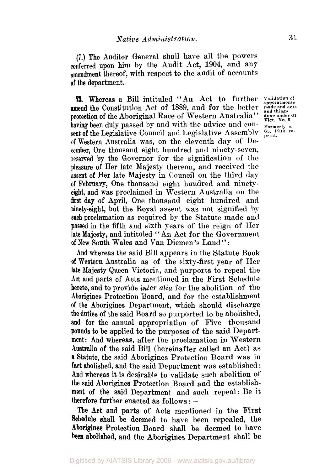*(7.)* The Auditor General shall have all the powers conferred upon him by the Audit Act, **1904,** and any amendment thereof, with respect to the audit of accounts **of** the department.

**73.** Whereas a Bill intituled "An Act to further Validation of appointments amend the Constitution Act of 1889, and for the better **made** and acts protection of the Aboriginal Race of Western Australia" having been duly passed by and with the advice and con-<br>sent of the Legislative Council and Legislative Assembly  $_{\text{print}}^{65, 1913}$  resent of the Legislative Council and Legislative Assembly of Western Australia was, on the eleventh day of **De**cember. One thousand eight hundred and ninety-seven, reserved by the Governor for the signification of the pleasure of Her late Majesty thereon, and received the assent of Her late Majesty in Council on the third day of February, One thousand eight hundred and ninety**eight,** and was proclaimed in Western Australia on the first day of April, One thousand eight hundred and ninety-eight, but the Royal assent was not signified by **such** proclamation as required by the Statute made **and**  passed in the fifth and sixth years of the reign of Her late Majesty, and intituled "An Act for the Government of New South Wales and Van Diemen's Land":

And whereas the said Bill appears in the Statute **Book of** Western Australia as of the sixty-first year of Her late Majesty Queen Victoria, and purports to repeal the Act and parts of Acts mentioned in the First Schedule hereto, and to provide *inter alia* for the abolition of the Aborigines Protection Board, and for the establishment **of** the Aborigines Department, which should discharge the duties of the said Board so purported to be abolished, and for the annual appropriation of Five thousand pounds to be applied to the purposes of the said Department: And whereas, after the proclamation in Western Australia of the said Bill (hereinafter called an Act) as **a** Statute, the said Aborigines Protection Board was in fact abolished, and the said Department was established : **And** whereas it is desirable to validate such abolition of **the** said Aborigines Protection Board and the establishment of the said Department and such repeal: Be it therefore further enacted as follows :-

The **Act** and parts of Acts mentioned in the First Schedule shall be deemed to have been repealed, the Aborigines Protection Board shall be deemed to have been abolished, and the Aborigines Department shall be

and things<br>done under 61<br>Vict., No. 5.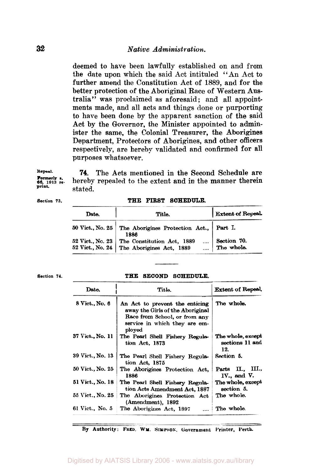deemed to have been lawfully established on and from the date upon which the said Act intituled "An Act to further amend the Constitution Act of 1889, and for the better protection of the Aboriginal Race of Western Australia" was proclaimed as aforesaid; and all appointments made, and all acts and things done or purporting to have been done by the apparent sanction of the said Act by the Governor, the Minister appointed to administer the same, the Colonial Treasurer, the Aborigines Department, Protectors of Aborigines, and other officers respectively, are hereby validated and confirmed for all purposes whatsoever.

**Formerly s. print.** 

**Repeal. 74.** The Acts mentioned in the Second Schedule are hereby repealed to the extent and in the manner therein stated.

**Section** *73.* **THE FIRST SCHEDULE.** 

| Date.            | Title.                                                                                     | Extent of Repeal.         |
|------------------|--------------------------------------------------------------------------------------------|---------------------------|
| 50 Vict., No. 25 | The Aborigines Protection Act., Part I.<br>1886                                            |                           |
|                  | 52 Vict., No. 23   The Constitution Act, 1889<br>52 Vict., No. 24 The Aborigines Act, 1889 | Section 70.<br>The whole. |

## Section 74. **THE SECOND SCHEDULE.**

| Date.            | Title.                                                                                                                                         | <b>Extent of Repeal.</b>                    |
|------------------|------------------------------------------------------------------------------------------------------------------------------------------------|---------------------------------------------|
| 8 Vict., No. 6   | An Act to prevent the enticing<br>away the Girls of the Aboriginal<br>Race from School, or from any<br>service in which they are em-<br>ployed | The whole.                                  |
| 37 Vict., No. 11 | The Pearl Shell Fishery Regula-<br>tion Act, 1873                                                                                              | The whole, except<br>sections 11 and<br>12. |
| 39 Vict., No. 13 | The Pearl Shell Fishery Regula-<br>tion Act, 1875                                                                                              | Section 5.                                  |
| 50 Vict., No. 25 | The Aborigines Protection Act.<br>1886                                                                                                         | Parts II., III.,<br>IV., and V.             |
| 51 Vict., No. 18 | The Pearl Shell Fishery Regula-<br>tion Acts Amendment Act, 1887                                                                               | The whole, except<br>section 5.             |
| 55 Vict., No. 25 | The Aborigines Protection Act<br>(Amendment), 1892                                                                                             | The whole.                                  |
| 61 Vict., No. 5  | The Aborigines Act, 1897                                                                                                                       | The whole.                                  |

**By Authority: FRED. WM. SIMPSON. Government Printer, Perth.**